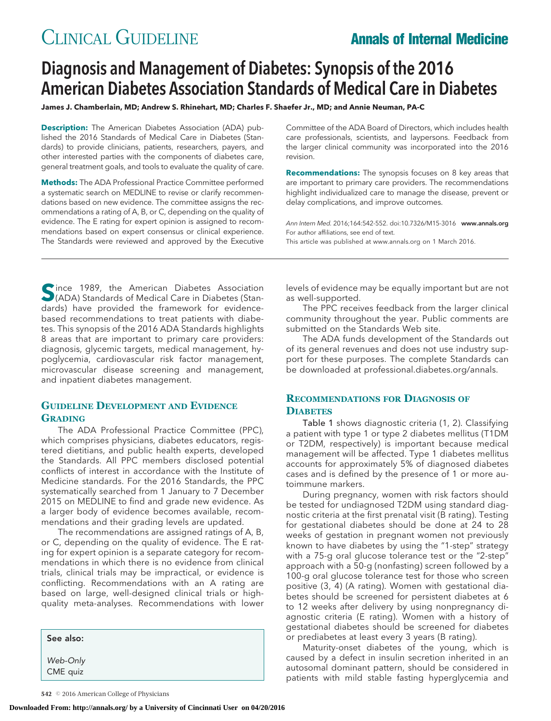# CLINICAL GUIDELINE **Annals of Internal Medicine**

# Diagnosis and Management of Diabetes: Synopsis of the 2016 American Diabetes Association Standards of Medical Care in Diabetes

**James J. Chamberlain, MD; Andrew S. Rhinehart, MD; Charles F. Shaefer Jr., MD; and Annie Neuman, PA-C**

**Description:** The American Diabetes Association (ADA) published the 2016 Standards of Medical Care in Diabetes (Standards) to provide clinicians, patients, researchers, payers, and other interested parties with the components of diabetes care, general treatment goals, and tools to evaluate the quality of care.

**Methods:** The ADA Professional Practice Committee performed a systematic search on MEDLINE to revise or clarify recommendations based on new evidence. The committee assigns the recommendations a rating of A, B, or C, depending on the quality of evidence. The E rating for expert opinion is assigned to recommendations based on expert consensus or clinical experience. The Standards were reviewed and approved by the Executive

Committee of the ADA Board of Directors, which includes health care professionals, scientists, and laypersons. Feedback from the larger clinical community was incorporated into the 2016 revision.

**Recommendations:** The synopsis focuses on 8 key areas that are important to primary care providers. The recommendations highlight individualized care to manage the disease, prevent or delay complications, and improve outcomes.

Ann Intern Med. 2016;164:542-552. doi:10.7326/M15-3016 www.annals.org For author affiliations, see end of text. This article was published at www.annals.org on 1 March 2016.

Since 1989, the American Diabetes Association<br>
(ADA) Standards of Medical Care in Diabetes (Standards) have provided the framework for evidencebased recommendations to treat patients with diabetes. This synopsis of the 2016 ADA Standards highlights 8 areas that are important to primary care providers: diagnosis, glycemic targets, medical management, hypoglycemia, cardiovascular risk factor management, microvascular disease screening and management, and inpatient diabetes management.

#### **GUIDELINE DEVELOPMENT AND EVIDENCE GRADING**

The ADA Professional Practice Committee (PPC), which comprises physicians, diabetes educators, registered dietitians, and public health experts, developed the Standards. All PPC members disclosed potential conflicts of interest in accordance with the Institute of Medicine standards. For the 2016 Standards, the PPC systematically searched from 1 January to 7 December 2015 on MEDLINE to find and grade new evidence. As a larger body of evidence becomes available, recommendations and their grading levels are updated.

The recommendations are assigned ratings of A, B, or C, depending on the quality of evidence. The E rating for expert opinion is a separate category for recommendations in which there is no evidence from clinical trials, clinical trials may be impractical, or evidence is conflicting. Recommendations with an A rating are based on large, well-designed clinical trials or highquality meta-analyses. Recommendations with lower

| See also:            |  |
|----------------------|--|
| Web-Only<br>CME quiz |  |

levels of evidence may be equally important but are not as well-supported.

The PPC receives feedback from the larger clinical community throughout the year. Public comments are submitted on the Standards Web site.

The ADA funds development of the Standards out of its general revenues and does not use industry support for these purposes. The complete Standards can be downloaded at professional.diabetes.org/annals.

#### **RECOMMENDATIONS FOR DIAGNOSIS OF DIABETES**

Table 1 shows diagnostic criteria (1, 2). Classifying a patient with type 1 or type 2 diabetes mellitus (T1DM or T2DM, respectively) is important because medical management will be affected. Type 1 diabetes mellitus accounts for approximately 5% of diagnosed diabetes cases and is defined by the presence of 1 or more autoimmune markers.

During pregnancy, women with risk factors should be tested for undiagnosed T2DM using standard diagnostic criteria at the first prenatal visit (B rating). Testing for gestational diabetes should be done at 24 to 28 weeks of gestation in pregnant women not previously known to have diabetes by using the "1-step" strategy with a 75-g oral glucose tolerance test or the "2-step" approach with a 50-g (nonfasting) screen followed by a 100-g oral glucose tolerance test for those who screen positive (3, 4) (A rating). Women with gestational diabetes should be screened for persistent diabetes at 6 to 12 weeks after delivery by using nonpregnancy diagnostic criteria (E rating). Women with a history of gestational diabetes should be screened for diabetes or prediabetes at least every 3 years (B rating).

Maturity-onset diabetes of the young, which is caused by a defect in insulin secretion inherited in an autosomal dominant pattern, should be considered in patients with mild stable fasting hyperglycemia and

**<sup>542</sup>** © 2016 American College of Physicians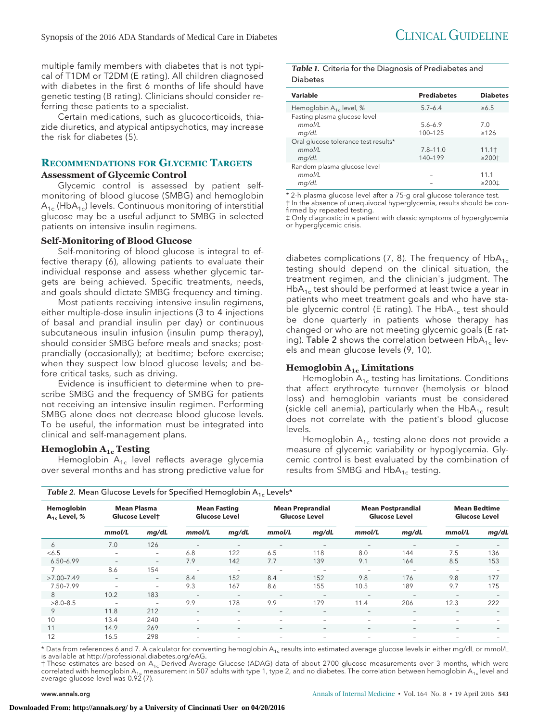multiple family members with diabetes that is not typical of T1DM or T2DM (E rating). All children diagnosed with diabetes in the first 6 months of life should have genetic testing (B rating). Clinicians should consider referring these patients to a specialist.

Certain medications, such as glucocorticoids, thiazide diuretics, and atypical antipsychotics, may increase the risk for diabetes (5).

### **RECOMMENDATIONS FOR GLYCEMIC TARGETS**

#### **Assessment of Glycemic Control**

Glycemic control is assessed by patient selfmonitoring of blood glucose (SMBG) and hemoglobin  $A_{1c}$  (Hb $A_{1c}$ ) levels. Continuous monitoring of interstitial glucose may be a useful adjunct to SMBG in selected patients on intensive insulin regimens.

#### **Self-Monitoring of Blood Glucose**

Self-monitoring of blood glucose is integral to effective therapy (6), allowing patients to evaluate their individual response and assess whether glycemic targets are being achieved. Specific treatments, needs, and goals should dictate SMBG frequency and timing.

Most patients receiving intensive insulin regimens, either multiple-dose insulin injections (3 to 4 injections of basal and prandial insulin per day) or continuous subcutaneous insulin infusion (insulin pump therapy), should consider SMBG before meals and snacks; postprandially (occasionally); at bedtime; before exercise; when they suspect low blood glucose levels; and before critical tasks, such as driving.

Evidence is insufficient to determine when to prescribe SMBG and the frequency of SMBG for patients not receiving an intensive insulin regimen. Performing SMBG alone does not decrease blood glucose levels. To be useful, the information must be integrated into clinical and self-management plans.

#### **Hemoglobin A1c Testing**

Hemoglobin  $A_{1c}$  level reflects average glycemia over several months and has strong predictive value for *Table 1.* Criteria for the Diagnosis of Prediabetes and Diabetes

| Variable                             | <b>Prediabetes</b> | <b>Diabetes</b>         |
|--------------------------------------|--------------------|-------------------------|
| Hemoglobin $A_{1c}$ level, %         | $5.7 - 6.4$        | $\geq 6.5$              |
| Fasting plasma glucose level         |                    |                         |
| mmol/l                               | $5.6 - 6.9$        | 7.0                     |
| mg/dL                                | 100-125            | >126                    |
| Oral glucose tolerance test results* |                    |                         |
| mmol/L                               | $7.8 - 11.0$       | 11.1 <sup>†</sup>       |
| mq/dL                                | 140-199            | $\geq 200$ <sup>+</sup> |
| Random plasma glucose level          |                    |                         |
| mmol/L                               |                    | 11.1                    |
| mq/dL                                |                    | $\geq 200 \pm$          |

\* 2-h plasma glucose level after a 75-g oral glucose tolerance test. † In the absence of unequivocal hyperglycemia, results should be confirmed by repeated testing.

‡ Only diagnostic in a patient with classic symptoms of hyperglycemia or hyperglycemic crisis.

diabetes complications (7, 8). The frequency of  $HbA_{1c}$ testing should depend on the clinical situation, the treatment regimen, and the clinician's judgment. The  $HbA_{1c}$  test should be performed at least twice a year in patients who meet treatment goals and who have stable glycemic control (E rating). The  $HbA_{1c}$  test should be done quarterly in patients whose therapy has changed or who are not meeting glycemic goals (E rating). Table 2 shows the correlation between HbA $_{1c}$  levels and mean glucose levels (9, 10).

#### **Hemoglobin A1c Limitations**

Hemoglobin  $A_{1c}$  testing has limitations. Conditions that affect erythrocyte turnover (hemolysis or blood loss) and hemoglobin variants must be considered (sickle cell anemia), particularly when the  $HbA_{1c}$  result does not correlate with the patient's blood glucose levels.

Hemoglobin  $A_{1c}$  testing alone does not provide a measure of glycemic variability or hypoglycemia. Glycemic control is best evaluated by the combination of results from SMBG and  $HbA_{1c}$  testing.

| $\tilde{\phantom{a}}$<br>$\sim$                                        |                          |                          |                                             |                          |                                                 |                          |                                                  |                          |                                             |                          |
|------------------------------------------------------------------------|--------------------------|--------------------------|---------------------------------------------|--------------------------|-------------------------------------------------|--------------------------|--------------------------------------------------|--------------------------|---------------------------------------------|--------------------------|
| Hemoglobin<br><b>Mean Plasma</b><br>$A_1$ , Level, %<br>Glucose Levelt |                          |                          | <b>Mean Fasting</b><br><b>Glucose Level</b> |                          | <b>Mean Preprandial</b><br><b>Glucose Level</b> |                          | <b>Mean Postprandial</b><br><b>Glucose Level</b> |                          | <b>Mean Bedtime</b><br><b>Glucose Level</b> |                          |
|                                                                        | mmol/L                   | mg/dL                    | mmol/L                                      | mg/dL                    | mmol/L                                          | mg/dL                    | mmol/L                                           | mg/dL                    | mmol/L                                      | mg/dL                    |
| 6                                                                      | 7.0                      | 126                      |                                             | $\overline{\phantom{a}}$ | $\overline{\phantom{m}}$                        |                          | $\qquad \qquad -$                                | $\overline{\phantom{a}}$ | $\overline{\phantom{m}}$                    |                          |
| < 6.5                                                                  | Ξ.                       | $\qquad \qquad =$        | 6.8                                         | 122                      | 6.5                                             | 118                      | 8.0                                              | 144                      | 7.5                                         | 136                      |
| $6.50 - 6.99$                                                          | Ξ.                       | $\overline{\phantom{a}}$ | 7.9                                         | 142                      | 7.7                                             | 139                      | 9.1                                              | 164                      | 8.5                                         | 153                      |
|                                                                        | 8.6                      | 154                      | $\overline{\phantom{a}}$                    | $\qquad \qquad -$        | $\overline{\phantom{0}}$                        | $\equiv$                 | $\qquad \qquad -$                                | $\overline{\phantom{a}}$ | $\overline{\phantom{a}}$                    |                          |
| $>7.00 - 7.49$                                                         | $\sim$                   | $\sim$                   | 8.4                                         | 152                      | 8.4                                             | 152                      | 9.8                                              | 176                      | 9.8                                         | 177                      |
| 7.50-7.99                                                              | Ξ.                       | -                        | 9.3                                         | 167                      | 8.6                                             | 155                      | 10.5                                             | 189                      | 9.7                                         | 175                      |
| 8                                                                      | 10.2                     | 183                      | $\overline{\phantom{a}}$                    | $\overline{\phantom{a}}$ | $-$                                             | $\overline{\phantom{a}}$ | $\overline{\phantom{a}}$                         | $-$                      | $\overline{\phantom{m}}$                    | $\overline{\phantom{a}}$ |
| $>8.0 - 8.5$                                                           | $\overline{\phantom{a}}$ | $\overline{\phantom{a}}$ | 9.9                                         | 178                      | 9.9                                             | 179                      | 11.4                                             | 206                      | 12.3                                        | 222                      |
| 9                                                                      | 11.8                     | 212                      | $\overline{\phantom{a}}$                    | $\overline{\phantom{a}}$ | $\overline{\phantom{a}}$                        | $\overline{\phantom{a}}$ | $\qquad \qquad -$                                | $\overline{\phantom{a}}$ | $\overline{\phantom{a}}$                    | $\qquad \qquad -$        |
| 10                                                                     | 13.4                     | 240                      | $\overline{\phantom{0}}$                    | $\equiv$                 | $\overline{\phantom{m}}$                        | $\overline{\phantom{a}}$ | $\overline{\phantom{a}}$                         | $\sim$                   | $\overline{\phantom{0}}$                    |                          |
| 11                                                                     | 14.9                     | 269                      | $\qquad \qquad -$                           | $\overline{\phantom{m}}$ | $\qquad \qquad -$                               | $\qquad \qquad -$        | $\qquad \qquad -$                                | $-$                      | $\overline{\phantom{m}}$                    |                          |
| 12                                                                     | 16.5                     | 298                      | $\overline{\phantom{0}}$                    | $\overline{\phantom{0}}$ | $\overline{\phantom{0}}$                        | $\overline{\phantom{0}}$ | $\qquad \qquad -$                                |                          | ۰                                           |                          |

*Table 2.* Mean Glucose Levels for Specified Hemoglobin A<sub>1c</sub> Levels\*

\* Data from references 6 and 7. A calculator for converting hemoglobin A<sub>1c</sub> results into estimated average glucose levels in either mg/dL or mmol/L is available at http://professional.diabetes.org/eAG.

† These estimates are based on A<sub>1c</sub>-Derived Average Glucose (ADAG) data of about 2700 glucose measurements over 3 months, which were correlated with hemoglobin A<sub>1c</sub> measurement in 507 adults with type 1, type 2, and no diabetes. The correlation between hemoglobin A<sub>1c</sub> level and<br>average glucose level was 0.92 (7).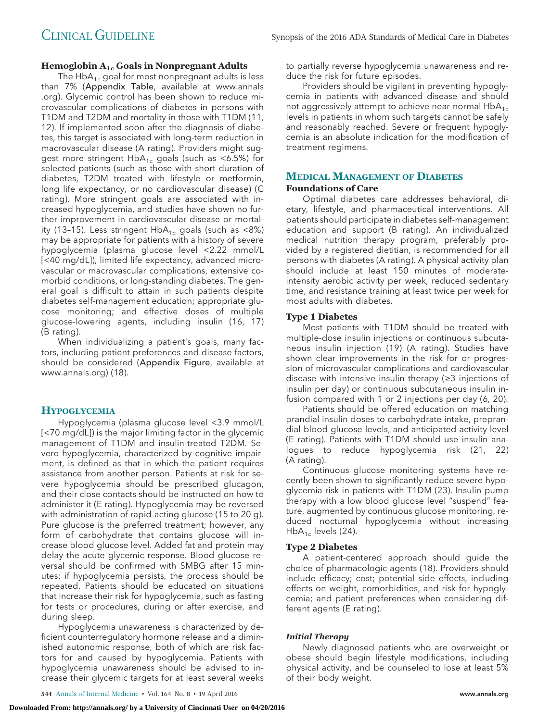#### **Hemoglobin A1c Goals in Nonpregnant Adults**

The  $HbA_{1c}$  goal for most nonpregnant adults is less than 7% (Appendix Table, available at [www.annals](http://www.annals.org) [.org\)](http://www.annals.org). Glycemic control has been shown to reduce microvascular complications of diabetes in persons with T1DM and T2DM and mortality in those with T1DM (11, 12). If implemented soon after the diagnosis of diabetes, this target is associated with long-term reduction in macrovascular disease (A rating). Providers might suggest more stringent  $HbA_{1c}$  goals (such as <6.5%) for selected patients (such as those with short duration of diabetes, T2DM treated with lifestyle or metformin, long life expectancy, or no cardiovascular disease) (C rating). More stringent goals are associated with increased hypoglycemia, and studies have shown no further improvement in cardiovascular disease or mortality (13-15). Less stringent  $HbA_{1c}$  goals (such as <8%) may be appropriate for patients with a history of severe hypoglycemia (plasma glucose level <2.22 mmol/L [<40 mg/dL]), limited life expectancy, advanced microvascular or macrovascular complications, extensive comorbid conditions, or long-standing diabetes. The general goal is difficult to attain in such patients despite diabetes self-management education; appropriate glucose monitoring; and effective doses of multiple glucose-lowering agents, including insulin (16, 17) (B rating).

When individualizing a patient's goals, many factors, including patient preferences and disease factors, should be considered (Appendix Figure, available at [www.annals.org\)](http://www.annals.org) (18).

#### **HYPOGLYCEMIA**

Hypoglycemia (plasma glucose level <3.9 mmol/L [<70 mg/dL]) is the major limiting factor in the glycemic management of T1DM and insulin-treated T2DM. Severe hypoglycemia, characterized by cognitive impairment, is defined as that in which the patient requires assistance from another person. Patients at risk for severe hypoglycemia should be prescribed glucagon, and their close contacts should be instructed on how to administer it (E rating). Hypoglycemia may be reversed with administration of rapid-acting glucose (15 to 20 g). Pure glucose is the preferred treatment; however, any form of carbohydrate that contains glucose will increase blood glucose level. Added fat and protein may delay the acute glycemic response. Blood glucose reversal should be confirmed with SMBG after 15 minutes; if hypoglycemia persists, the process should be repeated. Patients should be educated on situations that increase their risk for hypoglycemia, such as fasting for tests or procedures, during or after exercise, and during sleep.

Hypoglycemia unawareness is characterized by deficient counterregulatory hormone release and a diminished autonomic response, both of which are risk factors for and caused by hypoglycemia. Patients with hypoglycemia unawareness should be advised to increase their glycemic targets for at least several weeks

to partially reverse hypoglycemia unawareness and reduce the risk for future episodes.

Providers should be vigilant in preventing hypoglycemia in patients with advanced disease and should not aggressively attempt to achieve near-normal  $HbA_{1c}$ levels in patients in whom such targets cannot be safely and reasonably reached. Severe or frequent hypoglycemia is an absolute indication for the modification of treatment regimens.

## **MEDICAL MANAGEMENT OF DIABETES**

#### **Foundations of Care**

Optimal diabetes care addresses behavioral, dietary, lifestyle, and pharmaceutical interventions. All patients should participate in diabetes self-management education and support (B rating). An individualized medical nutrition therapy program, preferably provided by a registered dietitian, is recommended for all persons with diabetes (A rating). A physical activity plan should include at least 150 minutes of moderateintensity aerobic activity per week, reduced sedentary time, and resistance training at least twice per week for most adults with diabetes.

#### **Type 1 Diabetes**

Most patients with T1DM should be treated with multiple-dose insulin injections or continuous subcutaneous insulin injection (19) (A rating). Studies have shown clear improvements in the risk for or progression of microvascular complications and cardiovascular disease with intensive insulin therapy (≥3 injections of insulin per day) or continuous subcutaneous insulin infusion compared with 1 or 2 injections per day (6, 20).

Patients should be offered education on matching prandial insulin doses to carbohydrate intake, preprandial blood glucose levels, and anticipated activity level (E rating). Patients with T1DM should use insulin analogues to reduce hypoglycemia risk (21, 22) (A rating).

Continuous glucose monitoring systems have recently been shown to significantly reduce severe hypoglycemia risk in patients with T1DM (23). Insulin pump therapy with a low blood glucose level "suspend" feature, augmented by continuous glucose monitoring, reduced nocturnal hypoglycemia without increasing  $HbA_{1c}$  levels (24).

#### **Type 2 Diabetes**

A patient-centered approach should guide the choice of pharmacologic agents (18). Providers should include efficacy; cost; potential side effects, including effects on weight, comorbidities, and risk for hypoglycemia; and patient preferences when considering different agents (E rating).

#### *Initial Therapy*

Newly diagnosed patients who are overweight or obese should begin lifestyle modifications, including physical activity, and be counseled to lose at least 5% of their body weight.

**544** Annals of Internal Medicine • Vol. 164 No. 8 • 19 April 2016 www.annals.org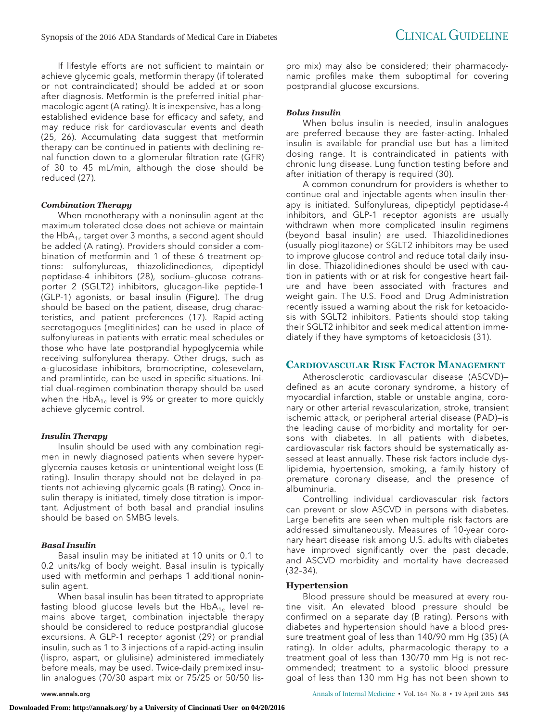If lifestyle efforts are not sufficient to maintain or achieve glycemic goals, metformin therapy (if tolerated or not contraindicated) should be added at or soon after diagnosis. Metformin is the preferred initial pharmacologic agent (A rating). It is inexpensive, has a longestablished evidence base for efficacy and safety, and may reduce risk for cardiovascular events and death (25, 26). Accumulating data suggest that metformin therapy can be continued in patients with declining renal function down to a glomerular filtration rate (GFR) of 30 to 45 mL/min, although the dose should be reduced (27).

#### *Combination Therapy*

When monotherapy with a noninsulin agent at the maximum tolerated dose does not achieve or maintain the  $HbA_{1c}$  target over 3 months, a second agent should be added (A rating). Providers should consider a combination of metformin and 1 of these 6 treatment options: sulfonylureas, thiazolidinediones, dipeptidyl peptidase-4 inhibitors (28), sodium–glucose cotransporter 2 (SGLT2) inhibitors, glucagon-like peptide-1 (GLP-1) agonists, or basal insulin (Figure). The drug should be based on the patient, disease, drug characteristics, and patient preferences (17). Rapid-acting secretagogues (meglitinides) can be used in place of sulfonylureas in patients with erratic meal schedules or those who have late postprandial hypoglycemia while receiving sulfonylurea therapy. Other drugs, such as  $\alpha$ -glucosidase inhibitors, bromocriptine, colesevelam, and pramlintide, can be used in specific situations. Initial dual-regimen combination therapy should be used when the  $HbA_{1c}$  level is 9% or greater to more quickly achieve glycemic control.

#### *Insulin Therapy*

Insulin should be used with any combination regimen in newly diagnosed patients when severe hyperglycemia causes ketosis or unintentional weight loss (E rating). Insulin therapy should not be delayed in patients not achieving glycemic goals (B rating). Once insulin therapy is initiated, timely dose titration is important. Adjustment of both basal and prandial insulins should be based on SMBG levels.

#### *Basal Insulin*

Basal insulin may be initiated at 10 units or 0.1 to 0.2 units/kg of body weight. Basal insulin is typically used with metformin and perhaps 1 additional noninsulin agent.

When basal insulin has been titrated to appropriate fasting blood glucose levels but the  $HbA_{1c}$  level remains above target, combination injectable therapy should be considered to reduce postprandial glucose excursions. A GLP-1 receptor agonist (29) or prandial insulin, such as 1 to 3 injections of a rapid-acting insulin (lispro, aspart, or glulisine) administered immediately before meals, may be used. Twice-daily premixed insulin analogues (70/30 aspart mix or 75/25 or 50/50 lispro mix) may also be considered; their pharmacodynamic profiles make them suboptimal for covering postprandial glucose excursions.

#### *Bolus Insulin*

When bolus insulin is needed, insulin analogues are preferred because they are faster-acting. Inhaled insulin is available for prandial use but has a limited dosing range. It is contraindicated in patients with chronic lung disease. Lung function testing before and after initiation of therapy is required (30).

A common conundrum for providers is whether to continue oral and injectable agents when insulin therapy is initiated. Sulfonylureas, dipeptidyl peptidase-4 inhibitors, and GLP-1 receptor agonists are usually withdrawn when more complicated insulin regimens (beyond basal insulin) are used. Thiazolidinediones (usually pioglitazone) or SGLT2 inhibitors may be used to improve glucose control and reduce total daily insulin dose. Thiazolidinediones should be used with caution in patients with or at risk for congestive heart failure and have been associated with fractures and weight gain. The U.S. Food and Drug Administration recently issued a warning about the risk for ketoacidosis with SGLT2 inhibitors. Patients should stop taking their SGLT2 inhibitor and seek medical attention immediately if they have symptoms of ketoacidosis (31).

#### **CARDIOVASCULAR RISK FACTOR MANAGEMENT**

Atherosclerotic cardiovascular disease (ASCVD) defined as an acute coronary syndrome, a history of myocardial infarction, stable or unstable angina, coronary or other arterial revascularization, stroke, transient ischemic attack, or peripheral arterial disease (PAD)—is the leading cause of morbidity and mortality for persons with diabetes. In all patients with diabetes, cardiovascular risk factors should be systematically assessed at least annually. These risk factors include dyslipidemia, hypertension, smoking, a family history of premature coronary disease, and the presence of albuminuria.

Controlling individual cardiovascular risk factors can prevent or slow ASCVD in persons with diabetes. Large benefits are seen when multiple risk factors are addressed simultaneously. Measures of 10-year coronary heart disease risk among U.S. adults with diabetes have improved significantly over the past decade, and ASCVD morbidity and mortality have decreased (32–34).

#### **Hypertension**

Blood pressure should be measured at every routine visit. An elevated blood pressure should be confirmed on a separate day (B rating). Persons with diabetes and hypertension should have a blood pressure treatment goal of less than 140/90 mm Hg (35) (A rating). In older adults, pharmacologic therapy to a treatment goal of less than 130/70 mm Hg is not recommended; treatment to a systolic blood pressure goal of less than 130 mm Hg has not been shown to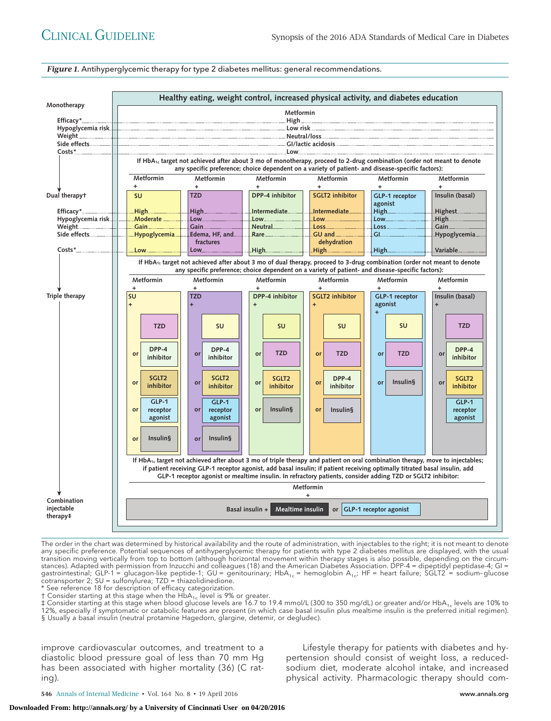*Figure 1.* Antihyperglycemic therapy for type 2 diabetes mellitus: general recommendations.



The order in the chart was determined by historical availability and the route of administration, with injectables to the right; it is not meant to denote any specific preference. Potential sequences of antihyperglycemic therapy for patients with type 2 diabetes mellitus are displayed, with the usual transition moving vertically from top to bottom (although horizontal movement within therapy stages is also possible, depending on the circumstances). Adapted with permission from Inzucchi and colleagues (18) and the American Diabetes Association. DPP-4 = dipeptidyl peptidase-4; GI = gastrointestinal; GLP-1 = glucagon-like peptide-1; GU = genitourinary; HbA<sub>1c</sub> = hemoglobin A<sub>1c</sub>; HF = heart failure; SGLT2 = sodium-glucose<br>cotransporter 2; SU = sulfonylurea; TZD = thiazolidinedione.

See reference 18 for description of efficacy categorization.

Consider starting at this stage when the  $HbA_{1c}$  level is 9% or greater.

‡ Consider starting at this stage when blood glucose levels are 16.7 to 19.4 mmol/L (300 to 350 mg/dL) or greater and/or HbA<sub>1c</sub> levels are 10% to 12%, especially if symptomatic or catabolic features are present (in which case basal insulin plus mealtime insulin is the preferred initial regimen). § Usually a basal insulin (neutral protamine Hagedorn, glargine, detemir, or degludec).

improve cardiovascular outcomes, and treatment to a diastolic blood pressure goal of less than 70 mm Hg has been associated with higher mortality (36) (C rating).

Lifestyle therapy for patients with diabetes and hypertension should consist of weight loss, a reducedsodium diet, moderate alcohol intake, and increased physical activity. Pharmacologic therapy should com-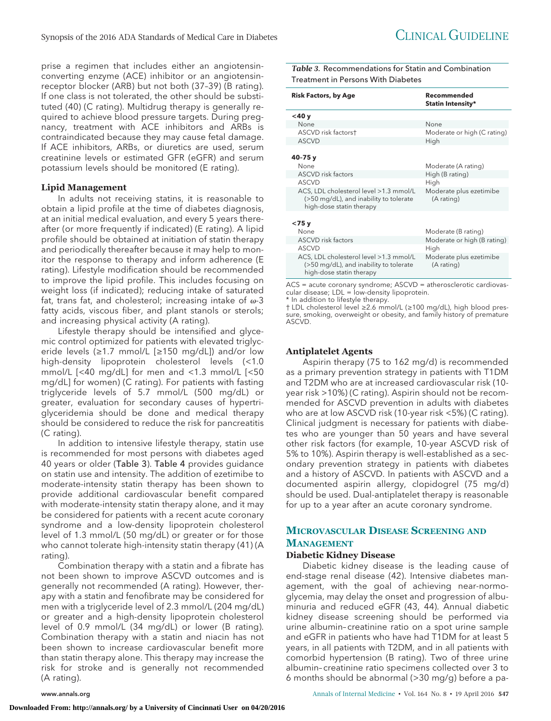prise a regimen that includes either an angiotensinconverting enzyme (ACE) inhibitor or an angiotensinreceptor blocker (ARB) but not both (37–39) (B rating). If one class is not tolerated, the other should be substituted (40) (C rating). Multidrug therapy is generally required to achieve blood pressure targets. During pregnancy, treatment with ACE inhibitors and ARBs is contraindicated because they may cause fetal damage. If ACE inhibitors, ARBs, or diuretics are used, serum creatinine levels or estimated GFR (eGFR) and serum potassium levels should be monitored (E rating).

#### **Lipid Management**

In adults not receiving statins, it is reasonable to obtain a lipid profile at the time of diabetes diagnosis, at an initial medical evaluation, and every 5 years thereafter (or more frequently if indicated) (E rating). A lipid profile should be obtained at initiation of statin therapy and periodically thereafter because it may help to monitor the response to therapy and inform adherence (E rating). Lifestyle modification should be recommended to improve the lipid profile. This includes focusing on weight loss (if indicated); reducing intake of saturated fat, trans fat, and cholesterol; increasing intake of  $\omega$ -3 fatty acids, viscous fiber, and plant stanols or sterols; and increasing physical activity (A rating).

Lifestyle therapy should be intensified and glycemic control optimized for patients with elevated triglyceride levels (≥1.7 mmol/L [≥150 mg/dL]) and/or low high-density lipoprotein cholesterol levels (<1.0 mmol/L [<40 mg/dL] for men and <1.3 mmol/L [<50 mg/dL] for women) (C rating). For patients with fasting triglyceride levels of 5.7 mmol/L (500 mg/dL) or greater, evaluation for secondary causes of hypertriglyceridemia should be done and medical therapy should be considered to reduce the risk for pancreatitis (C rating).

In addition to intensive lifestyle therapy, statin use is recommended for most persons with diabetes aged 40 years or older (Table 3). Table 4 provides guidance on statin use and intensity. The addition of ezetimibe to moderate-intensity statin therapy has been shown to provide additional cardiovascular benefit compared with moderate-intensity statin therapy alone, and it may be considered for patients with a recent acute coronary syndrome and a low-density lipoprotein cholesterol level of 1.3 mmol/L (50 mg/dL) or greater or for those who cannot tolerate high-intensity statin therapy (41) (A rating).

Combination therapy with a statin and a fibrate has not been shown to improve ASCVD outcomes and is generally not recommended (A rating). However, therapy with a statin and fenofibrate may be considered for men with a triglyceride level of 2.3 mmol/L (204 mg/dL) or greater and a high-density lipoprotein cholesterol level of 0.9 mmol/L (34 mg/dL) or lower (B rating). Combination therapy with a statin and niacin has not been shown to increase cardiovascular benefit more than statin therapy alone. This therapy may increase the risk for stroke and is generally not recommended (A rating).

*Table 3.* Recommendations for Statin and Combination Treatment in Persons With Diabetes

| <b>Risk Factors, by Age</b>                                                                                  | Recommended<br>Statin Intensity*      |
|--------------------------------------------------------------------------------------------------------------|---------------------------------------|
| $<$ 40 $y$                                                                                                   |                                       |
| None                                                                                                         | None                                  |
| ASCVD risk factorst                                                                                          | Moderate or high (C rating)           |
| <b>ASCVD</b>                                                                                                 | High                                  |
| 40-75 y<br>None                                                                                              | Moderate (A rating)                   |
| <b>ASCVD</b> risk factors                                                                                    | High (B rating)                       |
| <b>ASCVD</b>                                                                                                 | High                                  |
| ACS, LDL cholesterol level >1.3 mmol/L<br>(>50 mg/dL), and inability to tolerate<br>high-dose statin therapy | Moderate plus ezetimibe<br>(A rating) |
| $<$ 75 y<br>None                                                                                             | Moderate (B rating)                   |
| <b>ASCVD</b> risk factors                                                                                    | Moderate or high (B rating)           |
| <b>ASCVD</b>                                                                                                 | High                                  |
| ACS, LDL cholesterol level >1.3 mmol/L<br>(>50 mg/dL), and inability to tolerate<br>high-dose statin therapy | Moderate plus ezetimibe<br>(A rating) |
|                                                                                                              |                                       |

ACS = acute coronary syndrome; ASCVD = atherosclerotic cardiovascular disease; LDL = low-density lipoprotein.

\* In addition to lifestyle therapy.

† LDL cholesterol level ≥2.6 mmol/L (≥100 mg/dL), high blood pressure, smoking, overweight or obesity, and family history of premature ASCVD.

#### **Antiplatelet Agents**

Aspirin therapy (75 to 162 mg/d) is recommended as a primary prevention strategy in patients with T1DM and T2DM who are at increased cardiovascular risk (10 year risk >10%) (C rating). Aspirin should not be recommended for ASCVD prevention in adults with diabetes who are at low ASCVD risk (10-year risk <5%) (C rating). Clinical judgment is necessary for patients with diabetes who are younger than 50 years and have several other risk factors (for example, 10-year ASCVD risk of 5% to 10%). Aspirin therapy is well-established as a secondary prevention strategy in patients with diabetes and a history of ASCVD. In patients with ASCVD and a documented aspirin allergy, clopidogrel (75 mg/d) should be used. Dual-antiplatelet therapy is reasonable for up to a year after an acute coronary syndrome.

### **MICROVASCULAR DISEASE SCREENING AND MANAGEMENT**

#### **Diabetic Kidney Disease**

Diabetic kidney disease is the leading cause of end-stage renal disease (42). Intensive diabetes management, with the goal of achieving near-normoglycemia, may delay the onset and progression of albuminuria and reduced eGFR (43, 44). Annual diabetic kidney disease screening should be performed via urine albumin– creatinine ratio on a spot urine sample and eGFR in patients who have had T1DM for at least 5 years, in all patients with T2DM, and in all patients with comorbid hypertension (B rating). Two of three urine albumin– creatinine ratio specimens collected over 3 to 6 months should be abnormal (>30 mg/g) before a pa-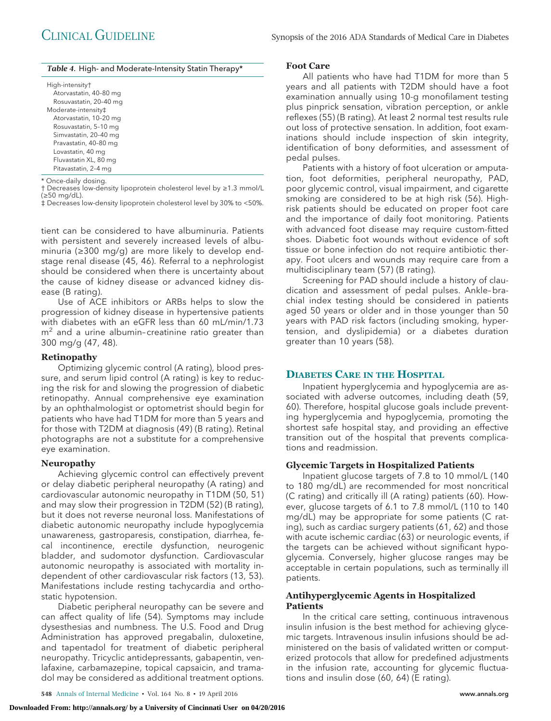|  |  |  | Table 4. High- and Moderate-Intensity Statin Therapy* |  |  |  |
|--|--|--|-------------------------------------------------------|--|--|--|
|--|--|--|-------------------------------------------------------|--|--|--|

High-intensity†

| Atorvastatin, 40-80 mg |
|------------------------|
| Rosuvastatin, 20-40 mg |
| Moderate-intensity‡    |
| Atorvastatin, 10-20 mg |
| Rosuvastatin, 5-10 mg  |
| Simvastatin, 20-40 mg  |
| Pravastatin, 40-80 mg  |
| Lovastatin, 40 mg      |
| Fluvastatin XL, 80 mg  |
| Pitavastatin, 2-4 mg   |
|                        |

\* Once-daily dosing.

† Decreases low-density lipoprotein cholesterol level by ≥1.3 mmol/L (≥50 mg/dL).

‡ Decreases low-density lipoprotein cholesterol level by 30% to <50%.

tient can be considered to have albuminuria. Patients with persistent and severely increased levels of albuminuria (≥300 mg/g) are more likely to develop endstage renal disease (45, 46). Referral to a nephrologist should be considered when there is uncertainty about the cause of kidney disease or advanced kidney disease (B rating).

Use of ACE inhibitors or ARBs helps to slow the progression of kidney disease in hypertensive patients with diabetes with an eGFR less than 60 mL/min/1.73  $m<sup>2</sup>$  and a urine albumin-creatinine ratio greater than 300 mg/g (47, 48).

#### **Retinopathy**

Optimizing glycemic control (A rating), blood pressure, and serum lipid control (A rating) is key to reducing the risk for and slowing the progression of diabetic retinopathy. Annual comprehensive eye examination by an ophthalmologist or optometrist should begin for patients who have had T1DM for more than 5 years and for those with T2DM at diagnosis (49) (B rating). Retinal photographs are not a substitute for a comprehensive eye examination.

#### **Neuropathy**

Achieving glycemic control can effectively prevent or delay diabetic peripheral neuropathy (A rating) and cardiovascular autonomic neuropathy in T1DM (50, 51) and may slow their progression in T2DM (52) (B rating), but it does not reverse neuronal loss. Manifestations of diabetic autonomic neuropathy include hypoglycemia unawareness, gastroparesis, constipation, diarrhea, fecal incontinence, erectile dysfunction, neurogenic bladder, and sudomotor dysfunction. Cardiovascular autonomic neuropathy is associated with mortality independent of other cardiovascular risk factors (13, 53). Manifestations include resting tachycardia and orthostatic hypotension.

Diabetic peripheral neuropathy can be severe and can affect quality of life (54). Symptoms may include dysesthesias and numbness. The U.S. Food and Drug Administration has approved pregabalin, duloxetine, and tapentadol for treatment of diabetic peripheral neuropathy. Tricyclic antidepressants, gabapentin, venlafaxine, carbamazepine, topical capsaicin, and tramadol may be considered as additional treatment options.

#### **Foot Care**

All patients who have had T1DM for more than 5 years and all patients with T2DM should have a foot examination annually using 10-g monofilament testing plus pinprick sensation, vibration perception, or ankle reflexes (55) (B rating). At least 2 normal test results rule out loss of protective sensation. In addition, foot examinations should include inspection of skin integrity, identification of bony deformities, and assessment of pedal pulses.

Patients with a history of foot ulceration or amputation, foot deformities, peripheral neuropathy, PAD, poor glycemic control, visual impairment, and cigarette smoking are considered to be at high risk (56). Highrisk patients should be educated on proper foot care and the importance of daily foot monitoring. Patients with advanced foot disease may require custom-fitted shoes. Diabetic foot wounds without evidence of soft tissue or bone infection do not require antibiotic therapy. Foot ulcers and wounds may require care from a multidisciplinary team (57) (B rating).

Screening for PAD should include a history of claudication and assessment of pedal pulses. Ankle–brachial index testing should be considered in patients aged 50 years or older and in those younger than 50 years with PAD risk factors (including smoking, hypertension, and dyslipidemia) or a diabetes duration greater than 10 years (58).

### **DIABETES CARE IN THE HOSPITAL**

Inpatient hyperglycemia and hypoglycemia are associated with adverse outcomes, including death (59, 60). Therefore, hospital glucose goals include preventing hyperglycemia and hypoglycemia, promoting the shortest safe hospital stay, and providing an effective transition out of the hospital that prevents complications and readmission.

#### **Glycemic Targets in Hospitalized Patients**

Inpatient glucose targets of 7.8 to 10 mmol/L (140 to 180 mg/dL) are recommended for most noncritical (C rating) and critically ill (A rating) patients (60). However, glucose targets of 6.1 to 7.8 mmol/L (110 to 140 mg/dL) may be appropriate for some patients (C rating), such as cardiac surgery patients (61, 62) and those with acute ischemic cardiac (63) or neurologic events, if the targets can be achieved without significant hypoglycemia. Conversely, higher glucose ranges may be acceptable in certain populations, such as terminally ill patients.

#### **Antihyperglycemic Agents in Hospitalized Patients**

In the critical care setting, continuous intravenous insulin infusion is the best method for achieving glycemic targets. Intravenous insulin infusions should be administered on the basis of validated written or computerized protocols that allow for predefined adjustments in the infusion rate, accounting for glycemic fluctuations and insulin dose (60, 64) (E rating).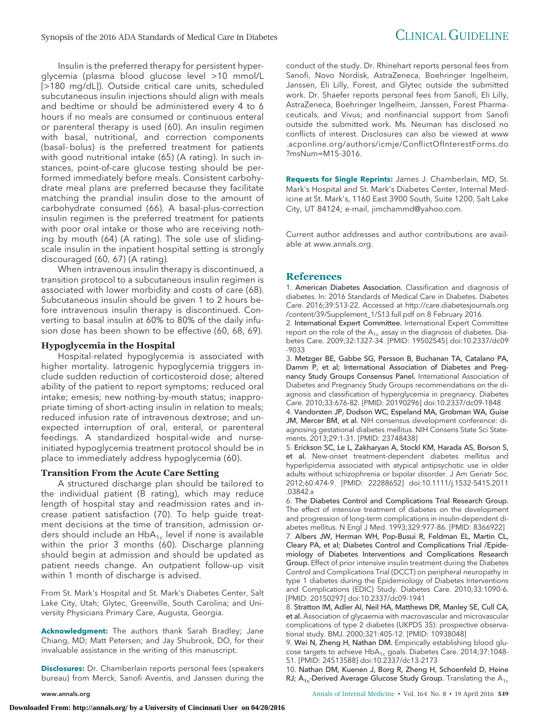Insulin is the preferred therapy for persistent hyperglycemia (plasma blood glucose level >10 mmol/L [>180 mg/dL]). Outside critical care units, scheduled subcutaneous insulin injections should align with meals and bedtime or should be administered every 4 to 6 hours if no meals are consumed or continuous enteral or parenteral therapy is used (60). An insulin regimen with basal, nutritional, and correction components (basal–bolus) is the preferred treatment for patients with good nutritional intake (65) (A rating). In such instances, point-of-care glucose testing should be performed immediately before meals. Consistent carbohydrate meal plans are preferred because they facilitate matching the prandial insulin dose to the amount of carbohydrate consumed (66). A basal-plus-correction insulin regimen is the preferred treatment for patients with poor oral intake or those who are receiving nothing by mouth (64) (A rating). The sole use of slidingscale insulin in the inpatient hospital setting is strongly discouraged (60, 67) (A rating).

When intravenous insulin therapy is discontinued, a transition protocol to a subcutaneous insulin regimen is associated with lower morbidity and costs of care (68). Subcutaneous insulin should be given 1 to 2 hours before intravenous insulin therapy is discontinued. Converting to basal insulin at 60% to 80% of the daily infusion dose has been shown to be effective (60, 68, 69).

#### **Hypoglycemia in the Hospital**

Hospital-related hypoglycemia is associated with higher mortality. Iatrogenic hypoglycemia triggers include sudden reduction of corticosteroid dose; altered ability of the patient to report symptoms; reduced oral intake; emesis; new nothing-by-mouth status; inappropriate timing of short-acting insulin in relation to meals; reduced infusion rate of intravenous dextrose; and unexpected interruption of oral, enteral, or parenteral feedings. A standardized hospital-wide and nurseinitiated hypoglycemia treatment protocol should be in place to immediately address hypoglycemia (60).

#### **Transition From the Acute Care Setting**

A structured discharge plan should be tailored to the individual patient (B rating), which may reduce length of hospital stay and readmission rates and increase patient satisfaction (70). To help guide treatment decisions at the time of transition, admission orders should include an  $HbA_{1c}$  level if none is available within the prior 3 months (60). Discharge planning should begin at admission and should be updated as patient needs change. An outpatient follow-up visit within 1 month of discharge is advised.

From St. Mark's Hospital and St. Mark's Diabetes Center, Salt Lake City, Utah; Glytec, Greenville, South Carolina; and University Physicians Primary Care, Augusta, Georgia.

**Acknowledgment:** The authors thank Sarah Bradley; Jane Chiang, MD; Matt Petersen; and Jay Shubrook, DO, for their invaluable assistance in the writing of this manuscript.

**Disclosures:** Dr. Chamberlain reports personal fees (speakers) bureau) from Merck, Sanofi Aventis, and Janssen during the

conduct of the study. Dr. Rhinehart reports personal fees from Sanofi, Novo Nordisk, AstraZeneca, Boehringer Ingelheim, Janssen, Eli Lilly, Forest, and Glytec outside the submitted work. Dr. Shaefer reports personal fees from Sanofi, Eli Lilly, AstraZeneca, Boehringer Ingelheim, Janssen, Forest Pharmaceuticals, and Vivus; and nonfinancial support from Sanofi outside the submitted work. Ms. Neuman has disclosed no conflicts of interest. Disclosures can also be viewed at [www](http://www.acponline.org/authors/icmje/ConflictOfInterestForms.do?msNum=M15-3016) [.acponline.org/authors/icmje/ConflictOfInterestForms.do](http://www.acponline.org/authors/icmje/ConflictOfInterestForms.do?msNum=M15-3016) [?msNum=M15-3016.](http://www.acponline.org/authors/icmje/ConflictOfInterestForms.do?msNum=M15-3016)

**Requests for Single Reprints:** James J. Chamberlain, MD, St. Mark's Hospital and St. Mark's Diabetes Center, Internal Medicine at St. Mark's, 1160 East 3900 South, Suite 1200, Salt Lake City, UT 84124; e-mail, [jimchammd@yahoo.com.](mailto:jimchammd@yahoo.com)

Current author addresses and author contributions are available at [www.annals.org.](http://www.annals.org)

#### **References**

1. American Diabetes Association. Classification and diagnosis of diabetes. In: 2016 Standards of Medical Care in Diabetes. Diabetes Care. 2016;39:S13-22. Accessed at [http://care.diabetesjournals.org](http://care.diabetesjournals.org/content/39/Supplement_1/S13.full.pdf) [/content/39/Supplement\\_1/S13.full.pdf](http://care.diabetesjournals.org/content/39/Supplement_1/S13.full.pdf) on 8 February 2016.

2. International Expert Committee. International Expert Committee report on the role of the  $A_{1c}$  assay in the diagnosis of diabetes. Diabetes Care. 2009;32:1327-34. [PMID: 19502545] doi:10.2337/dc09 -9033

3. Metzger BE, Gabbe SG, Persson B, Buchanan TA, Catalano PA, Damm P, et al; International Association of Diabetes and Pregnancy Study Groups Consensus Panel. International Association of Diabetes and Pregnancy Study Groups recommendations on the diagnosis and classification of hyperglycemia in pregnancy. Diabetes Care. 2010;33:676-82. [PMID: 20190296] doi:10.2337/dc09-1848

4. Vandorsten JP, Dodson WC, Espeland MA, Grobman WA, Guise JM, Mercer BM, et al. NIH consensus development conference: diagnosing gestational diabetes mellitus. NIH Consens State Sci Statements. 2013;29:1-31. [PMID: 23748438]

5. Erickson SC, Le L, Zakharyan A, Stockl KM, Harada AS, Borson S, et al. New-onset treatment-dependent diabetes mellitus and hyperlipidemia associated with atypical antipsychotic use in older adults without schizophrenia or bipolar disorder. J Am Geriatr Soc. 2012;60:474-9. [PMID: 22288652] doi:10.1111/j.1532-5415.2011 .03842.x

6. The Diabetes Control and Complications Trial Research Group. The effect of intensive treatment of diabetes on the development and progression of long-term complications in insulin-dependent diabetes mellitus. N Engl J Med. 1993;329:977-86. [PMID: 8366922]

7. Albers JW, Herman WH, Pop-Busui R, Feldman EL, Martin CL, Cleary PA, et al; Diabetes Control and Complications Trial /Epidemiology of Diabetes Interventions and Complications Research Group. Effect of prior intensive insulin treatment during the Diabetes Control and Complications Trial (DCCT) on peripheral neuropathy in type 1 diabetes during the Epidemiology of Diabetes Interventions and Complications (EDIC) Study. Diabetes Care. 2010;33:1090-6. [PMID: 20150297] doi:10.2337/dc09-1941

8. Stratton IM, Adler AI, Neil HA, Matthews DR, Manley SE, Cull CA, et al. Association of glycaemia with macrovascular and microvascular complications of type 2 diabetes (UKPDS 35): prospective observational study. BMJ. 2000;321:405-12. [PMID: 10938048]

9. Wei N, Zheng H, Nathan DM. Empirically establishing blood glucose targets to achieve  $HbA_{1c}$  goals. Diabetes Care. 2014;37:1048-51. [PMID: 24513588] doi:10.2337/dc13-2173

10. Nathan DM, Kuenen J, Borg R, Zheng H, Schoenfeld D, Heine RJ;  $A_{1c}$ -Derived Average Glucose Study Group. Translating the  $A_{1c}$ 

www.annals.org Annals of Internal Medicine • Vol. 164 No. 8 • 19 April 2016 **549**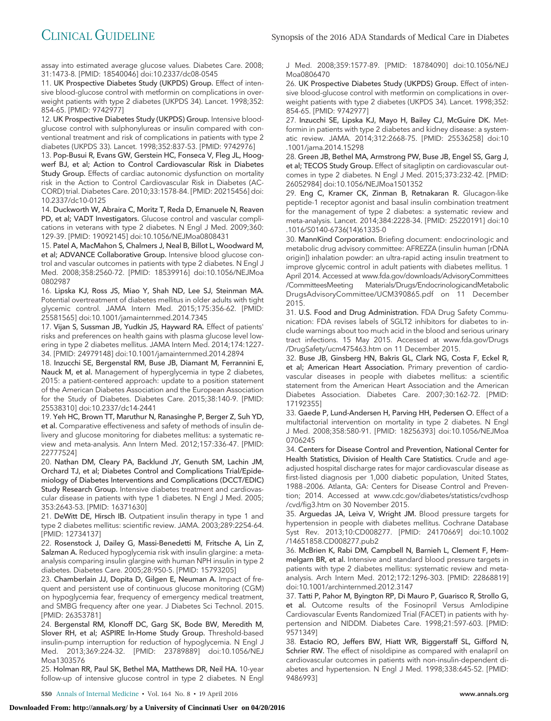assay into estimated average glucose values. Diabetes Care. 2008; 31:1473-8. [PMID: 18540046] doi:10.2337/dc08-0545

11. UK Prospective Diabetes Study (UKPDS) Group. Effect of intensive blood-glucose control with metformin on complications in overweight patients with type 2 diabetes (UKPDS 34). Lancet. 1998;352: 854-65. [PMID: 9742977]

12. UK Prospective Diabetes Study (UKPDS) Group. Intensive bloodglucose control with sulphonylureas or insulin compared with conventional treatment and risk of complications in patients with type 2 diabetes (UKPDS 33). Lancet. 1998;352:837-53. [PMID: 9742976]

13. Pop-Busui R, Evans GW, Gerstein HC, Fonseca V, Fleg JL, Hoogwerf BJ, et al; Action to Control Cardiovascular Risk in Diabetes Study Group. Effects of cardiac autonomic dysfunction on mortality risk in the Action to Control Cardiovascular Risk in Diabetes (AC-CORD) trial. Diabetes Care. 2010;33:1578-84. [PMID: 20215456] doi: 10.2337/dc10-0125

14. Duckworth W, Abraira C, Moritz T, Reda D, Emanuele N, Reaven PD, et al; VADT Investigators. Glucose control and vascular complications in veterans with type 2 diabetes. N Engl J Med. 2009;360: 129-39. [PMID: 19092145] doi:10.1056/NEJMoa0808431

15. Patel A, MacMahon S, Chalmers J, Neal B, Billot L, Woodward M, et al; ADVANCE Collaborative Group. Intensive blood glucose control and vascular outcomes in patients with type 2 diabetes. N Engl J Med. 2008;358:2560-72. [PMID: 18539916] doi:10.1056/NEJMoa 0802987

16. Lipska KJ, Ross JS, Miao Y, Shah ND, Lee SJ, Steinman MA. Potential overtreatment of diabetes mellitus in older adults with tight glycemic control. JAMA Intern Med. 2015;175:356-62. [PMID: 25581565] doi:10.1001/jamainternmed.2014.7345

17. Vijan S, Sussman JB, Yudkin JS, Hayward RA. Effect of patients' risks and preferences on health gains with plasma glucose level lowering in type 2 diabetes mellitus. JAMA Intern Med. 2014;174:1227- 34. [PMID: 24979148] doi:10.1001/jamainternmed.2014.2894

18. Inzucchi SE, Bergenstal RM, Buse JB, Diamant M, Ferrannini E, Nauck M, et al. Management of hyperglycemia in type 2 diabetes, 2015: a patient-centered approach: update to a position statement of the American Diabetes Association and the European Association for the Study of Diabetes. Diabetes Care. 2015;38:140-9. [PMID: 25538310] doi:10.2337/dc14-2441

19. Yeh HC, Brown TT, Maruthur N, Ranasinghe P, Berger Z, Suh YD, et al. Comparative effectiveness and safety of methods of insulin delivery and glucose monitoring for diabetes mellitus: a systematic review and meta-analysis. Ann Intern Med. 2012;157:336-47. [PMID: 22777524]

20. Nathan DM, Cleary PA, Backlund JY, Genuth SM, Lachin JM, Orchard TJ, et al; Diabetes Control and Complications Trial/Epidemiology of Diabetes Interventions and Complications (DCCT/EDIC) Study Research Group. Intensive diabetes treatment and cardiovascular disease in patients with type 1 diabetes. N Engl J Med. 2005; 353:2643-53. [PMID: 16371630]

21. DeWitt DE, Hirsch IB. Outpatient insulin therapy in type 1 and type 2 diabetes mellitus: scientific review. JAMA. 2003;289:2254-64. [PMID: 12734137]

22. Rosenstock J, Dailey G, Massi-Benedetti M, Fritsche A, Lin Z, Salzman A. Reduced hypoglycemia risk with insulin glargine: a metaanalysis comparing insulin glargine with human NPH insulin in type 2 diabetes. Diabetes Care. 2005;28:950-5. [PMID: 15793205]

23. Chamberlain JJ, Dopita D, Gilgen E, Neuman A. Impact of frequent and persistent use of continuous glucose monitoring (CGM) on hypoglycemia fear, frequency of emergency medical treatment, and SMBG frequency after one year. J Diabetes Sci Technol. 2015. [PMID: 26353781]

24. Bergenstal RM, Klonoff DC, Garg SK, Bode BW, Meredith M, Slover RH, et al; ASPIRE In-Home Study Group. Threshold-based insulin-pump interruption for reduction of hypoglycemia. N Engl J Med. 2013;369:224-32. [PMID: 23789889] doi:10.1056/NEJ Moa1303576

25. Holman RR, Paul SK, Bethel MA, Matthews DR, Neil HA. 10-year follow-up of intensive glucose control in type 2 diabetes. N Engl J Med. 2008;359:1577-89. [PMID: 18784090] doi:10.1056/NEJ Moa0806470

26. UK Prospective Diabetes Study (UKPDS) Group. Effect of intensive blood-glucose control with metformin on complications in overweight patients with type 2 diabetes (UKPDS 34). Lancet. 1998;352: 854-65. [PMID: 9742977]

27. Inzucchi SE, Lipska KJ, Mayo H, Bailey CJ, McGuire DK. Metformin in patients with type 2 diabetes and kidney disease: a systematic review. JAMA. 2014;312:2668-75. [PMID: 25536258] doi:10 .1001/jama.2014.15298

28. Green JB, Bethel MA, Armstrong PW, Buse JB, Engel SS, Garg J, et al; TECOS Study Group. Effect of sitagliptin on cardiovascular outcomes in type 2 diabetes. N Engl J Med. 2015;373:232-42. [PMID: 26052984] doi:10.1056/NEJMoa1501352

29. Eng C, Kramer CK, Zinman B, Retnakaran R. Glucagon-like peptide-1 receptor agonist and basal insulin combination treatment for the management of type 2 diabetes: a systematic review and meta-analysis. Lancet. 2014;384:2228-34. [PMID: 25220191] doi:10 .1016/S0140-6736(14)61335-0

30. MannKind Corporation. Briefing document: endocrinologic and metabolic drug advisory committee: AFREZZA (insulin human [rDNA origin]) inhalation powder: an ultra-rapid acting insulin treatment to improve glycemic control in adult patients with diabetes mellitus. 1 April 2014. Accessed at [www.fda.gov/downloads/AdvisoryCommittees](http://www.fda.gov/downloads/AdvisoryCommittees/CommitteesMeeting) [/CommitteesMeeting](http://www.fda.gov/downloads/AdvisoryCommittees/CommitteesMeeting) Materials/Drugs/EndocrinologicandMetabolic DrugsAdvisoryCommittee/UCM390865.pdf on 11 December 2015.

31. U.S. Food and Drug Administration. FDA Drug Safety Communication: FDA revises labels of SGLT2 inhibitors for diabetes to include warnings about too much acid in the blood and serious urinary tract infections. 15 May 2015. Accessed at [www.fda.gov/Drugs](http://www.fda.gov/Drugs/DrugSafety/ucm475463.htm) [/DrugSafety/ucm475463.htm](http://www.fda.gov/Drugs/DrugSafety/ucm475463.htm) on 11 December 2015.

32. Buse JB, Ginsberg HN, Bakris GL, Clark NG, Costa F, Eckel R, et al; American Heart Association. Primary prevention of cardiovascular diseases in people with diabetes mellitus: a scientific statement from the American Heart Association and the American Diabetes Association. Diabetes Care. 2007;30:162-72. [PMID: 17192355]

33. Gaede P, Lund-Andersen H, Parving HH, Pedersen O. Effect of a multifactorial intervention on mortality in type 2 diabetes. N Engl J Med. 2008;358:580-91. [PMID: 18256393] doi:10.1056/NEJMoa 0706245

34. Centers for Disease Control and Prevention, National Center for Health Statistics, Division of Health Care Statistics. Crude and ageadjusted hospital discharge rates for major cardiovascular disease as first-listed diagnosis per 1,000 diabetic population, United States, 1988 –2006. Atlanta, GA: Centers for Disease Control and Prevention; 2014. Accessed at [www.cdc.gov/diabetes/statistics/cvdhosp](http://www.cdc.gov/diabetes/statistics/cvdhosp/cvd/fig3.htm) [/cvd/fig3.htm](http://www.cdc.gov/diabetes/statistics/cvdhosp/cvd/fig3.htm) on 30 November 2015.

35. Arguedas JA, Leiva V, Wright JM. Blood pressure targets for hypertension in people with diabetes mellitus. Cochrane Database Syst Rev. 2013;10:CD008277. [PMID: 24170669] doi:10.1002 /14651858.CD008277.pub2

36. McBrien K, Rabi DM, Campbell N, Barnieh L, Clement F, Hemmelgarn BR, et al. Intensive and standard blood pressure targets in patients with type 2 diabetes mellitus: systematic review and metaanalysis. Arch Intern Med. 2012;172:1296-303. [PMID: 22868819] doi:10.1001/archinternmed.2012.3147

37. Tatti P, Pahor M, Byington RP, Di Mauro P, Guarisco R, Strollo G, et al. Outcome results of the Fosinopril Versus Amlodipine Cardiovascular Events Randomized Trial (FACET) in patients with hypertension and NIDDM. Diabetes Care. 1998;21:597-603. [PMID: 9571349]

38. Estacio RO, Jeffers BW, Hiatt WR, Biggerstaff SL, Gifford N, Schrier RW. The effect of nisoldipine as compared with enalapril on cardiovascular outcomes in patients with non-insulin-dependent diabetes and hypertension. N Engl J Med. 1998;338:645-52. [PMID: 9486993]

**550** Annals of Internal Medicine • Vol. 164 No. 8 • 19 April 2016 www.annals.org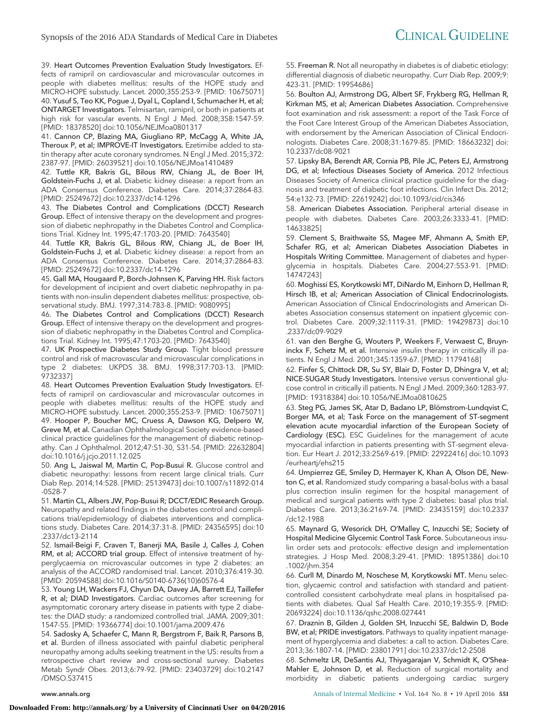39. Heart Outcomes Prevention Evaluation Study Investigators. Effects of ramipril on cardiovascular and microvascular outcomes in people with diabetes mellitus: results of the HOPE study and MICRO-HOPE substudy. Lancet. 2000;355:253-9. [PMID: 10675071] 40. Yusuf S, Teo KK, Pogue J, Dyal L, Copland I, Schumacher H, et al; ONTARGET Investigators. Telmisartan, ramipril, or both in patients at high risk for vascular events. N Engl J Med. 2008;358:1547-59. [PMID: 18378520] doi:10.1056/NEJMoa0801317

41. Cannon CP, Blazing MA, Giugliano RP, McCagg A, White JA, Theroux P, et al; IMPROVE-IT Investigators. Ezetimibe added to statin therapy after acute coronary syndromes. N Engl J Med. 2015;372: 2387-97. [PMID: 26039521] doi:10.1056/NEJMoa1410489

42. Tuttle KR, Bakris GL, Bilous RW, Chiang JL, de Boer IH, Goldstein-Fuchs J, et al. Diabetic kidney disease: a report from an ADA Consensus Conference. Diabetes Care. 2014;37:2864-83. [PMID: 25249672] doi:10.2337/dc14-1296

43. The Diabetes Control and Complications (DCCT) Research Group. Effect of intensive therapy on the development and progression of diabetic nephropathy in the Diabetes Control and Complications Trial. Kidney Int. 1995;47:1703-20. [PMID: 7643540]

44. Tuttle KR, Bakris GL, Bilous RW, Chiang JL, de Boer IH, Goldstein-Fuchs J, et al. Diabetic kidney disease: a report from an ADA Consensus Conference. Diabetes Care. 2014;37:2864-83. [PMID: 25249672] doi:10.2337/dc14-1296

45. Gall MA, Hougaard P, Borch-Johnsen K, Parving HH. Risk factors for development of incipient and overt diabetic nephropathy in patients with non-insulin dependent diabetes mellitus: prospective, observational study. BMJ. 1997;314:783-8. [PMID: 9080995]

46. The Diabetes Control and Complications (DCCT) Research Group. Effect of intensive therapy on the development and progression of diabetic nephropathy in the Diabetes Control and Complications Trial. Kidney Int. 1995;47:1703-20. [PMID: 7643540]

47. UK Prospective Diabetes Study Group. Tight blood pressure control and risk of macrovascular and microvascular complications in type 2 diabetes: UKPDS 38. BMJ. 1998;317:703-13. [PMID: 9732337]

48. Heart Outcomes Prevention Evaluation Study Investigators. Effects of ramipril on cardiovascular and microvascular outcomes in people with diabetes mellitus: results of the HOPE study and MICRO-HOPE substudy. Lancet. 2000;355:253-9. [PMID: 10675071] 49. Hooper P, Boucher MC, Cruess A, Dawson KG, Delpero W, Greve M, et al. Canadian Ophthalmological Society evidence-based clinical practice guidelines for the management of diabetic retinopathy. Can J Ophthalmol. 2012;47:S1-30, S31-54. [PMID: 22632804] doi:10.1016/j.jcjo.2011.12.025

50. Ang L, Jaiswal M, Martin C, Pop-Busui R. Glucose control and diabetic neuropathy: lessons from recent large clinical trials. Curr Diab Rep. 2014;14:528. [PMID: 25139473] doi:10.1007/s11892-014 -0528-7

51. Martin CL, Albers JW, Pop-Busui R; DCCT/EDIC Research Group. Neuropathy and related findings in the diabetes control and complications trial/epidemiology of diabetes interventions and complications study. Diabetes Care. 2014;37:31-8. [PMID: 24356595] doi:10 .2337/dc13-2114

52. Ismail-Beigi F, Craven T, Banerji MA, Basile J, Calles J, Cohen RM, et al; ACCORD trial group. Effect of intensive treatment of hyperglycaemia on microvascular outcomes in type 2 diabetes: an analysis of the ACCORD randomised trial. Lancet. 2010;376:419-30. [PMID: 20594588] doi:10.1016/S0140-6736(10)60576-4

53. Young LH, Wackers FJ, Chyun DA, Davey JA, Barrett EJ, Taillefer R, et al; DIAD Investigators. Cardiac outcomes after screening for asymptomatic coronary artery disease in patients with type 2 diabetes: the DIAD study: a randomized controlled trial. JAMA. 2009;301: 1547-55. [PMID: 19366774] doi:10.1001/jama.2009.476

54. Sadosky A, Schaefer C, Mann R, Bergstrom F, Baik R, Parsons B, et al. Burden of illness associated with painful diabetic peripheral neuropathy among adults seeking treatment in the US: results from a retrospective chart review and cross-sectional survey. Diabetes Metab Syndr Obes. 2013;6:79-92. [PMID: 23403729] doi:10.2147 /DMSO.S37415

55. Freeman R. Not all neuropathy in diabetes is of diabetic etiology: differential diagnosis of diabetic neuropathy. Curr Diab Rep. 2009;9: 423-31. [PMID: 19954686]

56. Boulton AJ, Armstrong DG, Albert SF, Frykberg RG, Hellman R, Kirkman MS, et al; American Diabetes Association. Comprehensive foot examination and risk assessment: a report of the Task Force of the Foot Care Interest Group of the American Diabetes Association, with endorsement by the American Association of Clinical Endocrinologists. Diabetes Care. 2008;31:1679-85. [PMID: 18663232] doi: 10.2337/dc08-9021

57. Lipsky BA, Berendt AR, Cornia PB, Pile JC, Peters EJ, Armstrong DG, et al; Infectious Diseases Society of America. 2012 Infectious Diseases Society of America clinical practice guideline for the diagnosis and treatment of diabetic foot infections. Clin Infect Dis. 2012; 54:e132-73. [PMID: 22619242] doi:10.1093/cid/cis346

58. American Diabetes Association. Peripheral arterial disease in people with diabetes. Diabetes Care. 2003;26:3333-41. [PMID: 14633825]

59. Clement S, Braithwaite SS, Magee MF, Ahmann A, Smith EP, Schafer RG, et al; American Diabetes Association Diabetes in Hospitals Writing Committee. Management of diabetes and hyperglycemia in hospitals. Diabetes Care. 2004;27:553-91. [PMID: 14747243]

60. Moghissi ES, Korytkowski MT, DiNardo M, Einhorn D, Hellman R, Hirsch IB, et al; American Association of Clinical Endocrinologists. American Association of Clinical Endocrinologists and American Diabetes Association consensus statement on inpatient glycemic control. Diabetes Care. 2009;32:1119-31. [PMID: 19429873] doi:10 .2337/dc09-9029

61. van den Berghe G, Wouters P, Weekers F, Verwaest C, Bruyninckx F, Schetz M, et al. Intensive insulin therapy in critically ill patients. N Engl J Med. 2001;345:1359-67. [PMID: 11794168]

62. Finfer S, Chittock DR, Su SY, Blair D, Foster D, Dhingra V, et al; NICE-SUGAR Study Investigators. Intensive versus conventional glucose control in critically ill patients. N Engl J Med. 2009;360:1283-97. [PMID: 19318384] doi:10.1056/NEJMoa0810625

63. Steg PG, James SK, Atar D, Badano LP, Blömstrom-Lundqvist C, Borger MA, et al; Task Force on the management of ST-segment elevation acute myocardial infarction of the European Society of Cardiology (ESC). ESC Guidelines for the management of acute myocardial infarction in patients presenting with ST-segment elevation. Eur Heart J. 2012;33:2569-619. [PMID: 22922416] doi:10.1093 /eurheartj/ehs215

64. Umpierrez GE, Smiley D, Hermayer K, Khan A, Olson DE, Newton C, et al. Randomized study comparing a basal-bolus with a basal plus correction insulin regimen for the hospital management of medical and surgical patients with type 2 diabetes: basal plus trial. Diabetes Care. 2013;36:2169-74. [PMID: 23435159] doi:10.2337 /dc12-1988

65. Maynard G, Wesorick DH, O'Malley C, Inzucchi SE; Society of Hospital Medicine Glycemic Control Task Force. Subcutaneous insulin order sets and protocols: effective design and implementation strategies. J Hosp Med. 2008;3:29-41. [PMID: 18951386] doi:10 .1002/jhm.354

66. Curll M, Dinardo M, Noschese M, Korytkowski MT. Menu selection, glycaemic control and satisfaction with standard and patientcontrolled consistent carbohydrate meal plans in hospitalised patients with diabetes. Qual Saf Health Care. 2010;19:355-9. [PMID: 20693224] doi:10.1136/qshc.2008.027441

67. Draznin B, Gilden J, Golden SH, Inzucchi SE, Baldwin D, Bode BW, et al; PRIDE investigators. Pathways to quality inpatient management of hyperglycemia and diabetes: a call to action. Diabetes Care. 2013;36:1807-14. [PMID: 23801791] doi:10.2337/dc12-2508

68. Schmeltz LR, DeSantis AJ, Thiyagarajan V, Schmidt K, O'Shea-Mahler E, Johnson D, et al. Reduction of surgical mortality and morbidity in diabetic patients undergoing cardiac surgery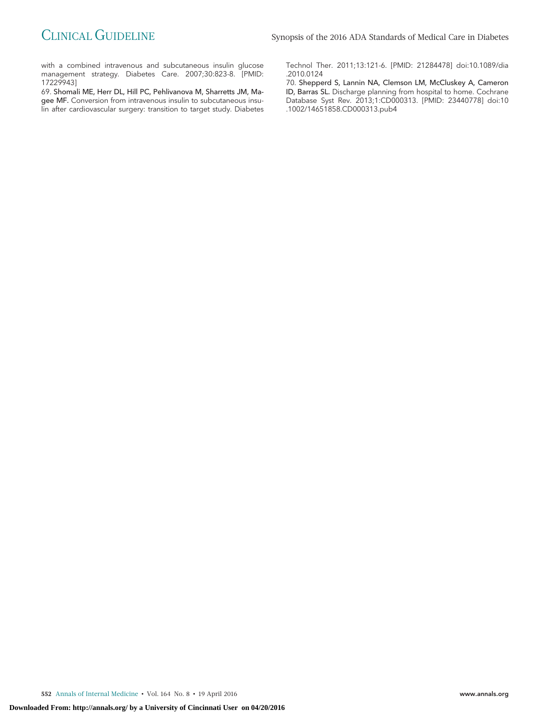with a combined intravenous and subcutaneous insulin glucose management strategy. Diabetes Care. 2007;30:823-8. [PMID: 17229943]

69. Shomali ME, Herr DL, Hill PC, Pehlivanova M, Sharretts JM, Magee MF. Conversion from intravenous insulin to subcutaneous insulin after cardiovascular surgery: transition to target study. Diabetes Technol Ther. 2011;13:121-6. [PMID: 21284478] doi:10.1089/dia .2010.0124

70. Shepperd S, Lannin NA, Clemson LM, McCluskey A, Cameron ID, Barras SL. Discharge planning from hospital to home. Cochrane Database Syst Rev. 2013;1:CD000313. [PMID: 23440778] doi:10 .1002/14651858.CD000313.pub4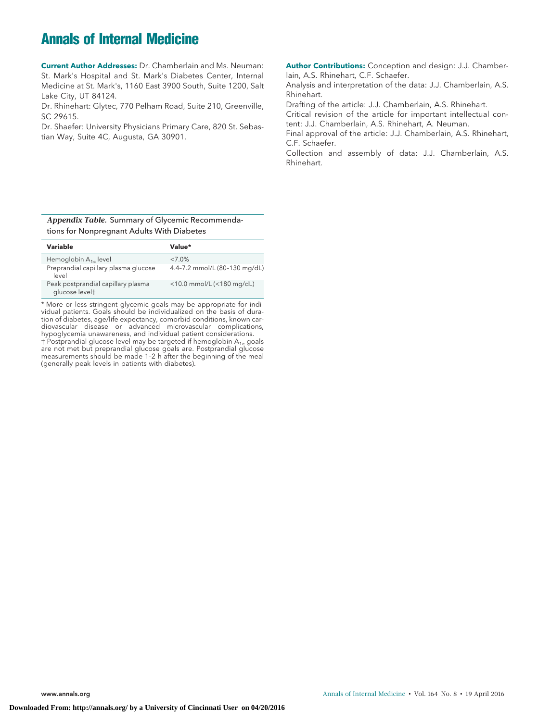## **Annals of Internal Medicine**

**Current Author Addresses:** Dr. Chamberlain and Ms. Neuman: St. Mark's Hospital and St. Mark's Diabetes Center, Internal Medicine at St. Mark's, 1160 East 3900 South, Suite 1200, Salt Lake City, UT 84124.

Dr. Rhinehart: Glytec, 770 Pelham Road, Suite 210, Greenville, SC 29615.

Dr. Shaefer: University Physicians Primary Care, 820 St. Sebastian Way, Suite 4C, Augusta, GA 30901.

**Author Contributions:** Conception and design: J.J. Chamberlain, A.S. Rhinehart, C.F. Schaefer.

Analysis and interpretation of the data: J.J. Chamberlain, A.S. Rhinehart.

Drafting of the article: J.J. Chamberlain, A.S. Rhinehart. Critical revision of the article for important intellectual content: J.J. Chamberlain, A.S. Rhinehart, A. Neuman.

Final approval of the article: J.J. Chamberlain, A.S. Rhinehart, C.F. Schaefer.

Collection and assembly of data: J.J. Chamberlain, A.S. Rhinehart.

#### *Appendix Table.* Summary of Glycemic Recommendations for Nonpregnant Adults With Diabetes

| Variable                                             | Value*                        |
|------------------------------------------------------|-------------------------------|
| Hemoglobin $A_{1c}$ level                            | $<7.0\%$                      |
| Preprandial capillary plasma glucose<br>level        | 4.4-7.2 mmol/L (80-130 mg/dL) |
| Peak postprandial capillary plasma<br>glucose levelt | <10.0 mmol/L(<180 mg/dL)      |
|                                                      |                               |

\* More or less stringent glycemic goals may be appropriate for individual patients. Goals should be individualized on the basis of duration of diabetes, age/life expectancy, comorbid conditions, known cardiovascular disease or advanced microvascular complications, hypoglycemia unawareness, and individual patient considerations.  $\dagger$  Postprandial glucose level may be targeted if hemoglobin A<sub>1c</sub> goals are not met but preprandial glucose goals are. Postprandial glucose measurements should be made 1–2 h after the beginning of the meal (generally peak levels in patients with diabetes).